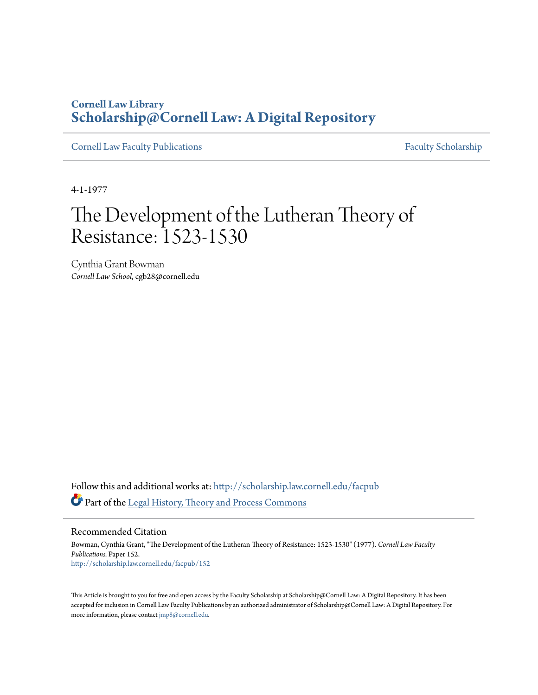## **Cornell Law Library [Scholarship@Cornell Law: A Digital Repository](http://scholarship.law.cornell.edu?utm_source=scholarship.law.cornell.edu%2Ffacpub%2F152&utm_medium=PDF&utm_campaign=PDFCoverPages)**

[Cornell Law Faculty Publications](http://scholarship.law.cornell.edu/facpub?utm_source=scholarship.law.cornell.edu%2Ffacpub%2F152&utm_medium=PDF&utm_campaign=PDFCoverPages) [Faculty Scholarship](http://scholarship.law.cornell.edu/facsch?utm_source=scholarship.law.cornell.edu%2Ffacpub%2F152&utm_medium=PDF&utm_campaign=PDFCoverPages)

4-1-1977

# The Development of the Lutheran Theory of Resistance: 1523-1530

Cynthia Grant Bowman *Cornell Law School*, cgb28@cornell.edu

Follow this and additional works at: [http://scholarship.law.cornell.edu/facpub](http://scholarship.law.cornell.edu/facpub?utm_source=scholarship.law.cornell.edu%2Ffacpub%2F152&utm_medium=PDF&utm_campaign=PDFCoverPages) Part of the [Legal History, Theory and Process Commons](http://network.bepress.com/hgg/discipline/904?utm_source=scholarship.law.cornell.edu%2Ffacpub%2F152&utm_medium=PDF&utm_campaign=PDFCoverPages)

Recommended Citation

Bowman, Cynthia Grant, "The Development of the Lutheran Theory of Resistance: 1523-1530" (1977). *Cornell Law Faculty Publications.* Paper 152. [http://scholarship.law.cornell.edu/facpub/152](http://scholarship.law.cornell.edu/facpub/152?utm_source=scholarship.law.cornell.edu%2Ffacpub%2F152&utm_medium=PDF&utm_campaign=PDFCoverPages)

This Article is brought to you for free and open access by the Faculty Scholarship at Scholarship@Cornell Law: A Digital Repository. It has been accepted for inclusion in Cornell Law Faculty Publications by an authorized administrator of Scholarship@Cornell Law: A Digital Repository. For more information, please contact [jmp8@cornell.edu.](mailto:jmp8@cornell.edu)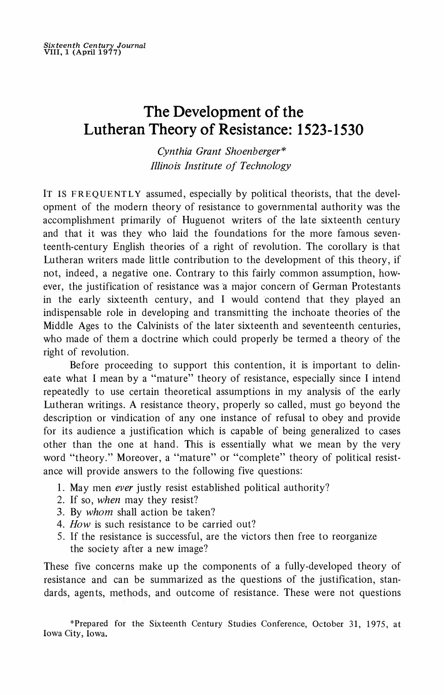## **The Development of the Lutheran Theory of Resistance: 1523-1530**

**Cynthia Grant Shoenberger\* Illinois Institute of Technology** 

**IT IS FREQUENTLY assumed, especially by political theorists, that the development of the modern theory of resistance to governmental authority was the accomplishment primarily of Huguenot writers of the late sixteenth century and that it was they who laid the foundations for the more famous seventeenth-century English theories of a right of revolution. The corollary is that Lutheran writers made little contribution to the development of this theory, if not, indeed, a negative one. Contrary to this fairly common assumption, however, the justification of resistance was 'a major concern of German Protestants in the early sixteenth century, and I would contend that they played an indispensable role in developing and transmitting the inchoate theories of the Middle Ages to the Calvinists of the later sixteenth and seventeenth centuries, who made of them a doctrine which could properly be termed a theory of the right of revolution.** 

**Before proceeding to support this contention, it is important to delineate what I mean by a "mature" theory of resistance, especially since I intend repeatedly to use certain theoretical assumptions in my analysis of the early Lutheran writings. A resistance theory, properly so called, must go beyond the description or vindication of any one instance of refusal to obey and provide for its audience a justification which is capable of being generalized to cases other than the one at hand. This is essentially what we mean by the very word "theory." Moreover, a "mature" or "complete" theory of political resistance will provide answers to the following five questions:** 

- **1. May men ever justly resist established political authority?**
- **2. If so, when may they resist?**
- **3. By whom shall action be taken?**
- **4. How is such resistance to be carried out?**
- **5. If the resistance is successful, are the victors then free to reorganize the society after a new image?**

**These five concerns make up the components of a fully-developed theory of resistance and can be summarized as the questions of the justification, standards, agents, methods, and outcome of resistance. These were not questions** 

**\*Prepared for the Sixteenth Century Studies Conference, October 31, 1975, at Iowa City, Iowa.**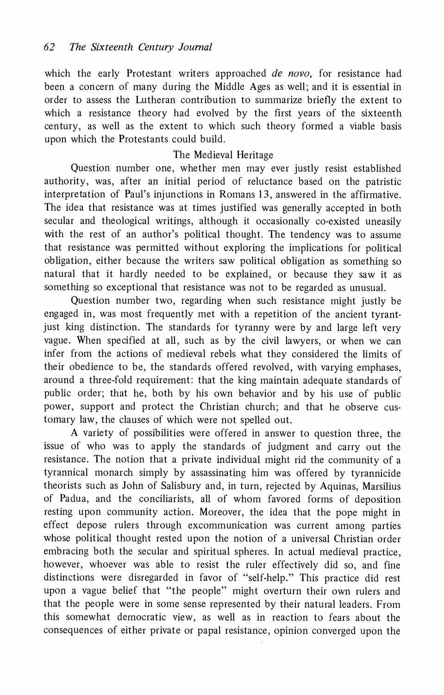**which the early Protestant writers approached de novo, for resistance had been a concern of many during the Middle Ages as well; and it is essential in order to assess the Lutheran contribution to summarize briefly the extent to which a resistance theory had evolved by the first years of the sixteenth century, as well as the extent to which such theory formed a viable basis upon which the Protestants could build.** 

### **The Medieval Heritage**

**Question number one, whether men may ever justly resist established authority, was, after an initial period of reluctance based on the patristic interpretation of Paul's injunctions in Romans 13, answered in the affirmative. The idea that resistance was at times justified was generally accepted in both secular and theological writings, although it occasionally co-existed uneasily with the rest of an author's political thought. The tendency was to assume that resistance was permitted without exploring the implications for political obligation, either because the writers saw political obligation as something so natural that it hardly needed to be explained, or because they saw it as something so exceptional that resistance was not to be regarded as unusual.** 

**Question number two, regarding when such resistance might justly be engaged in, was most frequently met with a repetition of the ancient tyrantjust king distinction. The standards for tyranny were by and large left very vague. When specified at all, such as by the civil lawyers, or when we can infer from the actions of medieval rebels what they considered the limits of their obedience to be, the standards offered revolved, with varying emphases, around a three-fold requirement: that the king maintain adequate standards of public order; that he, both by his own behavior and by his use of public power, support and protect the Christian church; and that he observe customary law, the clauses of which were not spelled out.** 

**A variety of possibilities were offered in answer to question three, the issue of who was to apply the standards of judgment and carry out the resistance. The notion that a private individual might rid the community of a tyrannical monarch simply by assassinating him was offered by tyrannicide theorists such as John of Salisbury and, in turn, rejected by Aquinas, Marsilius of Padua, and the conciliarists, all of whom favored forms of deposition resting upon community action. Moreover, the idea that the pope might in effect depose rulers through excommunication was current among parties whose political thought rested upon the notion of a universal Christian order embracing both the secular and spiritual spheres. In actual medieval practice, however, whoever was able to resist the ruler effectively did so, and fine distinctions were disregarded in favor of "self-help." This practice did rest upon a vague belief that "the people" might overturn their own rulers and that the people were in some sense represented by their natural leaders. From this somewhat democratic view, as well as in reaction to fears about the consequences of either private or papal resistance, opinion converged upon the**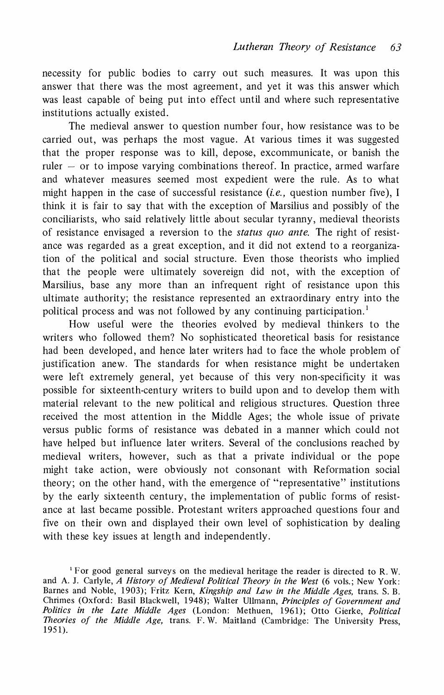**necessity for public bodies to carry out such measures. It was upon this answer that there was the most agreement, and yet it was this answer which was least capable of being put into effect until and where such representative institutions actually existed.** 

**The medieval answer to question number four, how resistance was to be carried out, was perhaps the most vague. At various times it was suggested that the proper response was to kill, depose, excommunicate, or banish the ruler - or to impose varying combinations thereof. In practice, armed warfare and whatever measures seemed most expedient were the rule. As to what**  might happen in the case of successful resistance *(i.e.*, question number five), I **think it is fair to say that with the exception of Marsilius and possibly of the conciliarists, who said relatively little about secular tyranny, medieval theorists of resistance envisaged a reversion to the status quo ante. The right of resistance was regarded as a great exception, and it did not extend to a reorganization of the political and social structure. Even those theorists who implied that the people were ultimately sovereign did not, with the exception of Marsilius, base any more than an infrequent right of resistance upon this ultimate authority; the resistance represented an extraordinary entry into the political process and was not followed by any continuing participation.1** 

**How useful were the theories evolved by medieval thinkers to the writers who followed them? No sophisticated theoretical basis for resistance had been developed, and hence later writers had to face the whole problem of justification anew. The standards for when resistance might be undertaken were left extremely general, yet because of this very non-specificity it was possible for sixteenth-century writers to build upon and to develop them with material relevant to the new political and religious structures. Question three received the most attention in the Middle Ages; the whole issue of private versus public forms of resistance was debated in a manner which could not have helped but influence later writers. Several of the conclusions reached by medieval writers, however, such as that a private individual or the pope might take action, were obviously not consonant with Reformation social theory; on the other hand, with the emergence of "representative" institutions by the early sixteenth century, the implementation of public forms of resistance at last became possible. Protestant writers approached questions four and five on their own and displayed their own level of sophistication by dealing with these key issues at length and independently.** 

**<sup>1</sup>For good general surveys on the medieval heritage the reader is directed to R. W. and A. J. Carlyle, A History of Medieval Political Theory in the West (6 vols.; New York: Barnes and Noble, 1903); Fritz Kern, Kingship and Law in the Middle Ages, trans. S. B. Chrimes (Oxford: Basil Blackwell, 1948); Walter Ullmann, Principles of Government and Politics in the Late Middle Ages (London: Methuen, 1961); Otto Gierke, Political Theories of the Middle Age, trans. F. W. Maitland (Cambridge: The University Press, 1951).**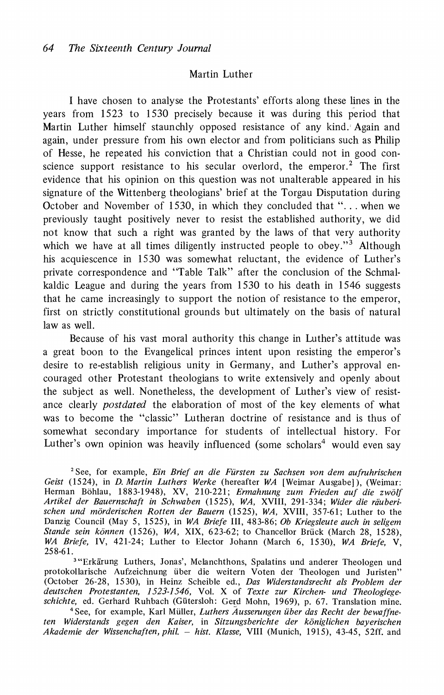#### **Martin Luther**

**I have chosen to analyse the Protestants' efforts along these lines in the years from 1523 to 1530 precisely because it was during this period that Martin Luther himself staunchly opposed resistance of any kind. Again and again, under pressure from his own elector and from politicians such as Philip of Hesse, he repeated his conviction that a Christian could not in good conscience support resistance to his secular overlord, the emperor.2 The first evidence that his opinion on this question was not unalterable appeared in his signature of the Wittenberg theologians' brief at the Torgau Disputation during October and November of 1530, in which they concluded that ". . . when we previously taught positively never to resist the established authority, we did not know that such a right was granted by the laws of that very authority which we have at all times diligently instructed people to obey."3 Although his acquiescence in 1530 was somewhat reluctant, the evidence of Luther's private correspondence and "Table Talk" after the conclusion of the Schmalkaldic League- and during the years from 1530 to his death in 1546 suggests that he came increasingly to support the notion of resistance to the emperor, first on strictly constitutional grounds but ultimately on the basis of natural law as well.** 

**Because of his vast moral authority this change in Luther's attitude was a great boon to the Evangelical princes intent upon resisting the emperor's desire to re-establish religious unity in Germany, and Luther's approval encouraged other Protestant theologians to write extensively and openly about the subject as well. Nonetheless, the development of Luther's view of resistance clearly postdated the elaboration of most of the key elements of what was to become the "classic" Lutheran doctrine of resistance and is thus of somewhat secondary importance for students of intellectual history. For**  Luther's own opinion was heavily influenced (some scholars<sup>4</sup> would even say

**2See, for example, Ein Brief an die Fursten zu Sachsen von dem aufruhrischen Geist (1524), in D. Martin Luthers Werke (hereafter WA [Weimar Ausgabel), (Weimar: Herman Bohlau, 1883-1948), XV, 210-221; Ermahnung zum Frieden auf die zwolf Artikel der Bauernschaft in Schwaben (1525), WA, XVIII, 291-334; Wider die rauberischen und morderischen Rotten der Bauern (1525), WA, XVIII, 357-61; Luther to the Danzig Council (May 5, 1525), in WA Briefe III, 483-86; Ob Kriegsleute auch in seligem**  Stande sein können (1526), WA, XIX, 623-62; to Chancellor Brück (March 28, 1528), WA Briefe, IV, 421-24; Luther to Elector Johann (March 6, 1530), WA Briefe, V, **25 8-6 1.** 

<sup>3</sup>"Erkärung Luthers, Jonas', Melanchthons, Spalatins und anderer Theologen und **protokollarische Aufzeichnung uiber die weitern Voten der Theologen und Juristen" (October 26-28, 1530), in Heinz Scheible ed., Das Widerstandsrecht als Problem der deutschen Protestanten, 1523-1546, Vol. X of Texte zur Kirchen- und Theologiege**schichte, ed. Gerhard Ruhbach (Gütersloh: Gerd Mohn, 1969), p. 67. Translation mine.

<sup>4</sup> See, for example, Karl Müller, Luthers Ausserungen über das Recht der bewaffne**ten Widerstands gegen den Kaiser, in Sitzungsberichte der koniglichen bayerischen Akademie der Wissenchaften, phil. - hist. Klasse, VIII (Munich, 1915), 43-45, 52ff. and**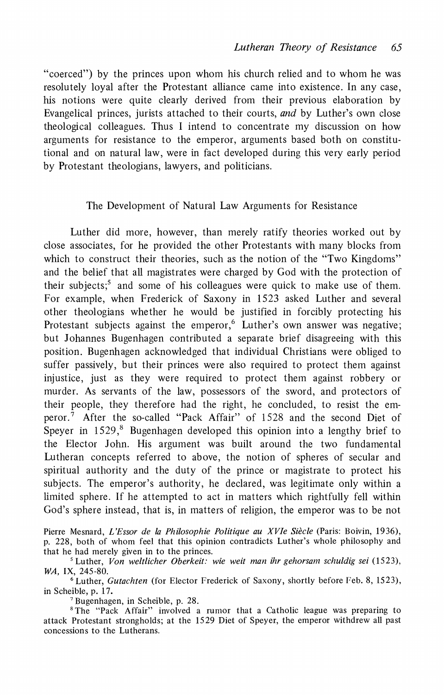**"coerced") by the princes upon whom his church relied and to whom he was resolutely loyal after the Protestant alliance came into existence. In any case, his notions were quite clearly derived from their previous elaboration by Evangelical princes, jurists attached to their courts, and by Luther's own close theological colleagues. Thus I intend to concentrate my discussion on how arguments for resistance to the emperor, arguments based both on constitutional and on natural law, were in fact developed during this very early period by Protestant theologians, lawyers, and politicians.** 

#### **The Development of Natural Law Arguments for Resistance**

**Luther did more, however, than merely ratify theories worked out by close associates, for he provided the other Protestants with many blocks from which to construct their theories, such as the notion of the "Two Kingdoms" and the belief that all magistrates were charged by God with the protection of their subjects;5 and some of his colleagues were quick to make use of them. For example, when Frederick of Saxony in 1523 asked Luther and several other theologians whether he would be justified in forcibly protecting his**  Protestant subjects against the emperor,<sup>6</sup> Luther's own answer was negative; **but Johannes Bugenhagen contributed a separate brief disagreeing with this position. Bugenhagen acknowledged that individual Christians were obliged to suffer passively, but their princes were also required to protect them against injustice, just as they were required to protect them against robbery or murder. As servants of the law, possessors of the sword, and protectors of their people, they therefore had the right, he concluded, to resist the emperor.7 After the so-called "Pack Affair" of 1528 and the second Diet of Speyer in 1529,<sup>8</sup> Bugenhagen developed this opinion into a lengthy brief to the Elector John. His argument was built around the two fundamental Lutheran concepts referred to above, the notion of spheres of secular and spiritual authority and the duty of the prince or magistrate to protect his subjects. The emperor's authority, he declared, was legitimate only within a limited sphere. If he attempted to act in matters which rightfully fell within God's sphere instead, that is, in matters of religion, the emperor was to be not** 

Pierre Mesnard, L'Essor de la Philosophie Politique au XVIe Siècle (Paris: Boivin, 1936), **p. 228, both of whom feel that this opinion contradicts Luther's whole philosophy and that he had merely given in to the princes.** 

<sup>5</sup> Luther, Von weltlicher Oberkeit: wie weit man ihr gehorsam schuldig sei (1523), **WA, IX, 245-80.** 

**<sup>6</sup>Luther, Gutachten (for Elector Frederick of Saxony, shortly before Feb. 8, 1523), in Scheible, p. 17.** 

**7Bugenhagen, in Scheible, p. 28.** 

**<sup>8</sup>The "Pack Affair" involved a rumor that a Catholic league was preparing to attack Protestant strongholds; at the 1529 Diet of Speyer, the emperor withdrew all past concessions to the Lutherans.**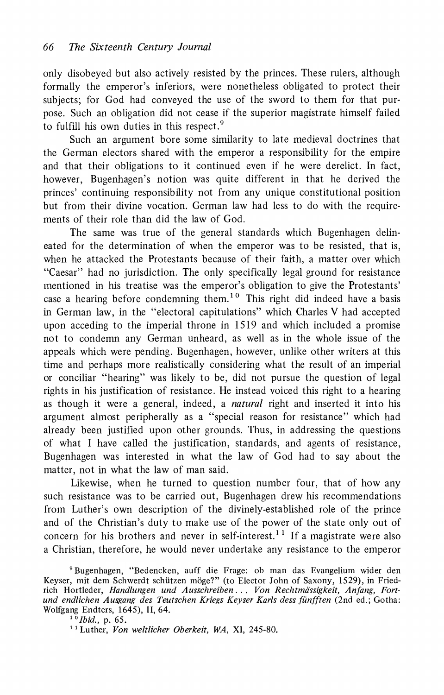**only disobeyed but also actively resisted by the princes. These rulers, although formally the emperor's inferiors, were nonetheless obligated to protect their subjects; for God had conveyed the use of the sword to them for that purpose. Such an obligation did not cease if the superior magistrate himself failed to fulfill his own duties in this respect.9** 

**Such an argument bore some similarity to late medieval doctrines that the German electors shared with the emperor a responsibility for the empire and that their obligations to it continued even if he were derelict. In fact, however, Bugenhagen's notion was quite different in that he derived the princes' continuing responsibility not from any unique constitutional position but from their divine vocation. German law had less to do with the requirements of their role than did the law of God.** 

**The same was true of the general standards which Bugenhagen delineated for the determination of when the emperor was to be resisted, that is, when he attacked the Protestants because of their faith, a matter over which "Caesar" had no jurisdiction. The only specifically legal ground for resistance mentioned in his treatise was the emperor's obligation to give the Protestants' case a hearing before condemning them.1 0 This right did indeed have a basis in German law, in the "electoral capitulations" which Charles V had accepted upon acceding to the imperial throne in 1519 and which included a promise not to condemn any German unheard, as well as in the whole issue of the appeals which were pending. Bugenhagen, however, unlike other writers at this time and perhaps more realistically considering what the result of an imperial or conciliar "hearing" was likely to be, did not pursue the question of legal rights in his justification of resistance. He instead voiced this right to a hearing as though it were a general, indeed, a natural right and inserted it into his argument almost peripherally as a "special reason for resistance" which had already been justified upon other grounds. Thus, in addressing the questions of what I have called the justification, standards, and agents of resistance, Bugenhagen was interested in what the law of God had to say about the matter, not in what the law of man said.** 

**Likewise, when he turned to question number four, that of how any such resistance was to be carried out, Bugenhagen drew his recommendations from Luther's own description of the divinely-established role of the prince and of the Christian's duty to make use of the power of the state only out of concern for his brothers and never in self-interest.1 1 If a magistrate were also a Christian, therefore, he would never undertake any resistance to the emperor** 

**<sup>9</sup>Bugenhagen, "Bedencken, auff die Frage: ob man das Evangelium wider den**  Keyser, mit dem Schwerdt schützen möge?" (to Elector John of Saxony, 1529), in Friedrich Hortleder, Handlungen und Ausschreiben... Von Rechtmässigkeit, Anfang, Fort**und endlichen Ausgang des Teutschen Kriegs Keyser Karls dess ffinfften (2nd ed.; Gotha: Wolfgang Endters, 1645), II, 64.** 

<sup>&</sup>lt;sup>1 0</sup>*Ibid.*, p. 65.

**<sup>&</sup>quot; Luther, Von weltlicher Oberkeit, WA, XI, 245-80.**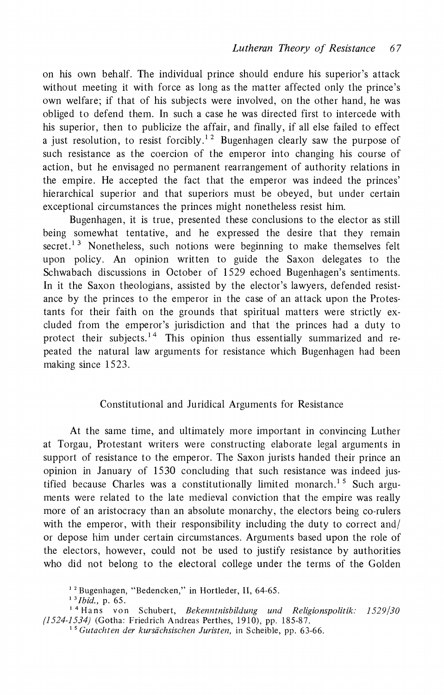**on his own behalf. The individual prince should endure his superior's attack without meeting it with force as long as the matter affected only the prince's own welfare; if that of his subjects were involved, on the other hand, he was obliged to defend them. In such a case he was directed first to intercede with his superior, then to publicize the affair, and finally, if all else failed to effect a just resolution, to resist forcibly.12 Bugenhagen clearly saw the purpose of such resistance as the coercion of the emperor into changing his course of action, but he envisaged no permanent rearrangement of authority relations in the empire. He accepted the fact that the emperor was indeed the princes' hierarchical superior and that superiors must be obeyed, but under certain exceptional circumstances the princes might nonetheless resist him.** 

**Bugenhagen, it is true, presented these conclusions to the elector as still being somewhat tentative, and he expressed the desire that they remain secret.** <sup>13</sup> Nonetheless, such notions were beginning to make themselves felt **upon policy. An opinion written to guide the Saxon delegates to the Schwabach discussions in October of 1529 echoed Bugenhagen's sentiments. In it the Saxon theologians, assisted by the elector's lawyers, defended resistance by the princes to the emperor in the case of an attack upon the Protestants for their faith on the grounds that spiritual matters were strictly excluded from the emperor's jurisdiction and that the princes had a duty to**  protect their subjects.<sup>14</sup> This opinion thus essentially summarized and re**peated the natural law arguments for resistance which Bugenhagen had been making since 1523.** 

#### **Constitutional and Juridical Arguments for Resistance**

**At the same time, and ultimately more important in convincing Luther at Torgau, Protestant writers were constructing elaborate legal arguments in support of resistance to the emperor. The Saxon jurists handed their prince an opinion in January of 1530 concluding that such resistance was indeed justified because Charles was a constitutionally limited monarch.1 5Such arguments were related to the late medieval conviction that the empire was really more of an aristocracy than an absolute monarchy, the electors being co-rulers with the emperor, with their responsibility including the duty to correct and/ or depose him under certain circumstances. Arguments based upon the role of the electors, however, could not be used to justify resistance by authorities who did not belong to the electoral college under the terms of the Golden** 

**1 3Ibid., p. 65.** 

**<sup>1 2</sup> Bugenhagen, "Bedencken," in Hortleder, II, 64-65.** 

**<sup>1 4</sup>Hans von Schubert, Bekenntnisbildung und Religionspolitik. 1529/30 (1524-1534) (Gotha: Friedrich Andreas Perthes, 1910), pp. 185-87.** 

<sup>&</sup>lt;sup>15</sup> Gutachten der kursächsischen Juristen, in Scheible, pp. 63-66.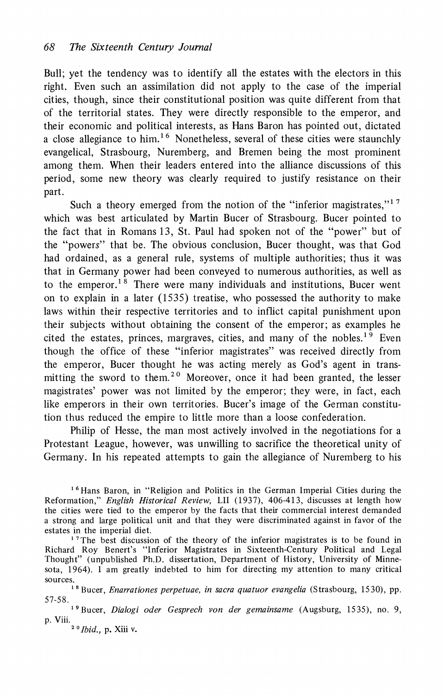**Bull; yet the tendency was to identify all the estates with the electors in this right. Even such an assimilation did not apply to the case of the imperial cities, though, since their constitutional position was quite different from that of the territorial states. They were directly responsible to the emperor, and their economic and political interests, as Hans Baron has pointed out, dictated a close allegiance to him. 16 Nonetheless, several of these cities were staunchly evangelical, Strasbourg, Nuremberg, and Bremen being the most prominent among them. When their leaders entered into the alliance discussions of this period, some new theory was clearly required to justify resistance on their part.** 

Such a theory emerged from the notion of the "inferior magistrates,"<sup>17</sup> **which was best articulated by Martin Bucer of Strasbourg. Bucer pointed to the fact that in Romans 13, St. Paul had spoken not of the "power" but of the "powers" that be. The obvious conclusion, Bucer thought, was that God had ordained, as a general rule, systems of multiple authorities; thus it was that in Germany power had been conveyed to numerous authorities, as well as to the emperor.18 There were many individuals and institutions, Bucer went on to explain in a later (1535) treatise, who possessed the authority to make laws within their respective territories and to inflict capital punishment upon their subjects without obtaining the consent of the emperor; as examples he**  cited the estates, princes, margraves, cities, and many of the nobles.<sup>19</sup> Even **though the office of these "inferior magistrates" was received directly from the emperor, Bucer thought he was acting merely as God's agent in transmitting the sword to them.20 Moreover, once it had been granted, the lesser magistrates' power was not limited by the emperor; they were, in fact, each like emperors in their own territories. Bucer's image of the German constitution thus reduced the empire to little more than a loose confederation.** 

**Philip of Hesse, the man most actively involved in the negotiations for a Protestant League, however, was unwilling to sacrifice the theoretical unity of Germany. In his repeated attempts to gain the allegiance of Nuremberg to his** 

<sup>16</sup> Hans Baron, in "Religion and Politics in the German Imperial Cities during the **Reformation," English Historical Review, LII (1937), 406-413, discusses at length how the cities were tied to the emperor by the facts that their commercial interest demanded a strong and large political unit and that they were discriminated against in favor of the estates in the imperial diet.** 

<sup>17</sup>The best discussion of the theory of the inferior magistrates is to be found in **Richard Roy Benert's "Inferior Magistrates in Sixteenth-Century Political and Legal Thought" (unpublished Ph.D. dissertation, Department of History, University of Minnesota, 1964). 1 am greatly indebted to him for directing my attention to many critical sources.** 

**1 8 Bucer, Enarrationes perpetuae, in sacra quatuor evangelia (Strasbourg, 1530), pp. 57-58.** 

**<sup>1</sup>9 Bucer, Dialogi oder Gesprech von der gemainsame (Augsburg, 1535), no. 9, p. Viii.** 

**2 0Ibid., p. Xiii v.**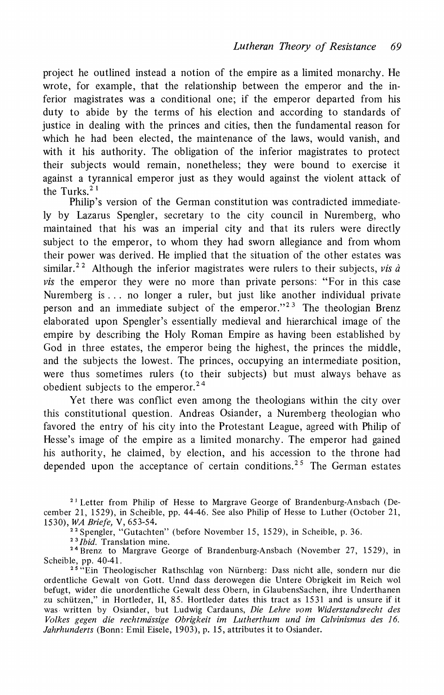**project he outlined instead a notion of the empire as a limited monarchy. He wrote, for example, that the relationship between the emperor and the inferior magistrates was a conditional one; if the emperor departed from his duty to abide by the terms of his election and according to standards of justice in dealing with the princes and cities, then the fundamental reason for which he had been elected, the maintenance of the laws, would vanish, and with it his authority. The obligation of the inferior magistrates to protect their subjects would remain, nonetheless; they were bound to exercise it against a tyrannical emperor just as they would against the violent attack of the Turks.2 1** 

**Philip's version of the German constitution was contradicted immediately by Lazarus Spengler, secretary to the city council in Nuremberg, who maintained that his was an imperial city and that its rulers were directly subject to the emperor, to whom they had sworn allegiance and from whom their power was derived. He implied that the situation of the other estates was**  similar.<sup>22</sup> Although the inferior magistrates were rulers to their subjects, *vis à* **vis the emperor they were no more than private persons: "For in this case Nuremberg is... no longer a ruler, but just like another individual private person and an immediate subject of the emperor."23 The theologian Brenz elaborated upon Spengler's essentially medieval and hierarchical image of the empire by describing the Holy Roman Empire as having been established by God in three estates, the emperor being the highest, the princes the middle, and the subjects the lowest. The princes, occupying an intermediate position, were thus sometimes rulers (to their subjects) but must always behave as obedient subjects to the emperor.24** 

**Yet there was conflict even among the theologians within the city over this constitutional question. Andreas Osiander, a Nuremberg theologian who favored the entry of his city into the Protestant League, agreed with Philip of Hesse's image of the empire as a limited monarchy. The emperor had gained his authority, he claimed, by election, and his accession to the throne had depended upon the acceptance of certain conditions.25 The German estates** 

**21 Letter from Philip of Hesse to Margrave George of Brandenburg-Ansbach (December 21, 1529), in Scheible, pp. 44-46. See also Philip of Hesse to Luther (October 21, 1530), WA Briefe, V, 653-54.** 

**22Spengler, "Gutachten" (before November 15, 1529), in Scheible, p. 36.** 

**2"3Ibid. Translation mine.** 

**<sup>24</sup>Brenz to Margrave George of Brandenburg-Ansbach (November 27, 1529), in Scheible, pp. 40-41.** 

**25"Ein Theologischer Rathschlag von Nurnberg: Dass nicht alle, sondern nur die ordentliche Gewalt von Gott. Unnd dass derowegen die Untere Obrigkeit im Reich wol befugt, wider die unordentliche Gewalt dess Obern, in GlaubensSachen, ihre Underthanen zu schutzen," in Hortleder, II, 85. Hortleder dates this tract as 1531 and is unsure if it was written by Osiander, but Ludwig Cardauns, Die Lehre vom Widerstandsrecht des Volkes gegen die rechtmdssige Obrigkeit im Lutherthum und im Calvinismus des 16. Jahrhunderts (Bonn: Emil Eisele, 1903), p. 15, attributes it to Osiander.**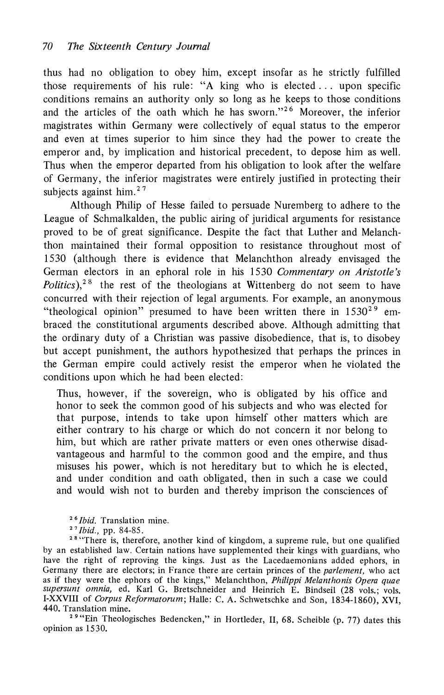**thus had no obligation to obey him, except insofar as he strictly fulfilled those requirements of his rule: "A king who is elected... upon specific conditions remains an authority only so long as he keeps to those conditions and the articles of the oath which he has sworn."26 Moreover, the inferior magistrates within Germany were collectively of equal status to the emperor and even at times superior to him since they had the power to create the emperor and, by implication and historical precedent, to depose him as well. Thus when the emperor departed from his obligation to look after the welfare of Germany, the inferior magistrates were entirely justified in protecting their subjects against him.27** 

**Although Philip of Hesse failed to persuade Nuremberg to adhere to the League of Schmalkalden, the public airing of juridical arguments for resistance proved to be of great significance. Despite the fact that Luther and Melanchthon maintained their formal opposition to resistance throughout most of 1530 (although there is evidence that Melanchthon already envisaged the German electors in an ephoral role in his 1530 Commentary on Aristotle's Politics).**<sup>28</sup> the rest of the theologians at Wittenberg do not seem to have **concurred with their rejection of legal arguments. For example, an anonymous "theological opinion" presumed to have been written there in 153029 embraced the constitutional arguments described above. Although admitting that the ordinary duty of a Christian was passive disobedience, that is, to disobey but accept punishment, the authors hypothesized that perhaps the princes in the German empire could actively resist the emperor when he violated the conditions upon which he had been elected:** 

**Thus, however, if the sovereign, who is obligated by his office and honor to seek the common good of his subjects and who was elected for that purpose, intends to take upon himself other matters which are either contrary to his charge or which do not concern it nor belong to him, but which are rather private matters or even ones otherwise disadvantageous and harmful to the common good and the empire, and thus misuses his power, which is not hereditary but to which he is elected, and under condition and oath obligated, then in such a case we could and would wish not to burden and thereby imprison the consciences of** 

**26Ibid. Translation mine.** 

**27Ibid., pp. 84-85.** 

<sup>28</sup> "There is, therefore, another kind of kingdom, a supreme rule, but one qualified **by an established law. Certain nations have supplemented their kings with guardians, who have the right of reproving the kings. Just as the Lacedaemonians added ephors, in Germany there are electors; in France there are certain princes of the parlement, who act**  as if they were the ephors of the kings," Melanchthon, *Philippi Melanthonis Opera quae*<br>su*persunt omnia*, ed. Karl G. Bretschneider and Heinrich E. Bindseil (28 vols.; vols. **I-XXVIII of Corpus Reformatorum; Halle: C. A. Schwetschke and Son, 1834-1860), XVI, 440. Translation mine.** 

**<sup>2</sup>9 "Ein Theologisches Bedencken," in Hortleder, II, 68. Scheible (p. 77) dates this opinion as 1530.**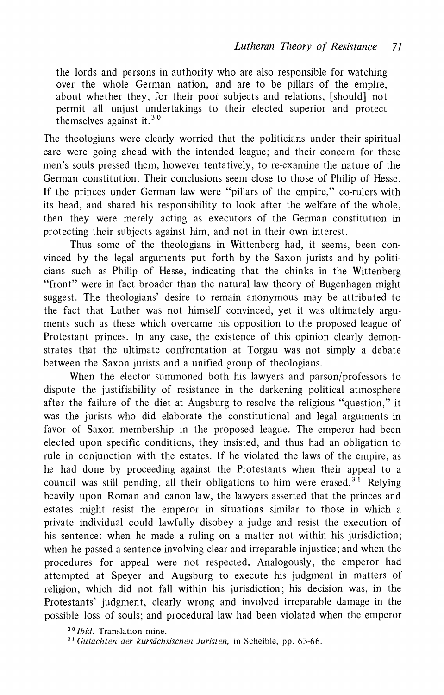**the lords and persons in authority who are also responsible for watching over the whole German nation, and are to be pillars of the empire, about whether they, for their poor subjects and relations, [should] not permit all unjust undertakings to their elected superior and protect themselves against it.30** 

**The theologians were clearly worried that the politicians under their spiritual care were going ahead with the intended league; and their concern for these men's souls pressed them, however tentatively, to re-examine the nature of the German constitution. Their conclusions seem close to those of Philip of Hesse. If the princes under German law were "pillars of the empire," co-rulers with its head, and shared his responsibility to look after the welfare of the whole, then they were merely acting as executors of the German constitution in protecting their subjects against him, and not in their own interest.** 

**Thus some of the theologians in Wittenberg had, it seems, been convinced by the legal arguments put forth by the Saxon jurists and by politicians such as Philip of Hesse, indicating that the chinks in the Wittenberg "front" were in fact broader than the natural law theory of Bugenhagen might suggest. The theologians' desire to remain anonymous may be attributed to the fact that Luther was not himself convinced, yet it was ultimately arguments such as these which overcame his opposition to the proposed league of Protestant princes. In any case, the existence of this opinion clearly demonstrates that the ultimate confrontation at Torgau was not simply a debate between the Saxon jurists and a unified group of theologians.** 

**When the elector summoned both his lawyers and parson/professors to dispute the justifiability of resistance in the darkening political atmosphere after the failure of the diet at Augsburg to resolve the religious "question," it was the jurists who did elaborate the constitutional and legal arguments in favor of Saxon membership in the proposed league. The emperor had been elected upon specific conditions, they insisted, and thus had an obligation to rule in conjunction with the estates. If he violated the laws of the empire, as he had done by proceeding against the Protestants when their appeal to a council was still pending, all their obligations to him were erased.31 Relying heavily upon Roman and canon law, the lawyers asserted that the princes and estates might resist the emperor in situations similar to those in which a private individual could lawfully disobey a judge and resist the execution of his sentence: when he made a ruling on a matter not within his jurisdiction; when he passed a sentence involving clear and irreparable injustice; and when the procedures for appeal were not respected. Analogously, the emperor had attempted at Speyer and Augsburg to execute his judgment in matters of religion, which did not fall within his jurisdiction; his decision was, in the Protestants' judgment, clearly wrong and involved irreparable damage in the possible loss of souls; and procedural law had been violated when the emperor** 

<sup>30</sup> *Ibid.* Translation mine.

**31 Gutachten der kursachsischen Juristen, in Scheible, pp. 63-66.**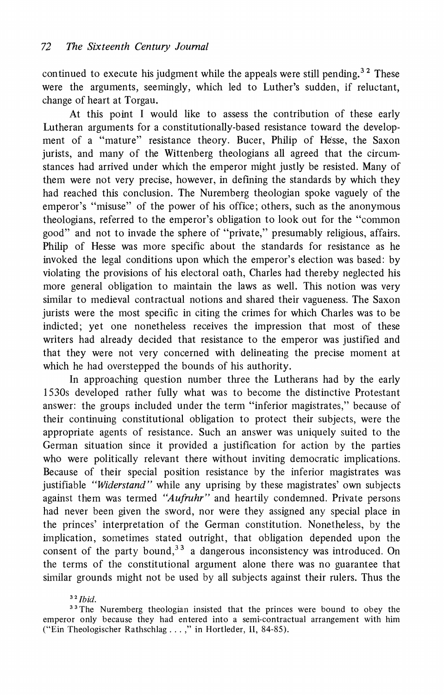**continued to execute his judgment while the appeals were still pending.3 2 These were the arguments, seemingly, which led to Luther's sudden, if reluctant, change of heart at Torgau.** 

**At this point I would like to assess the contribution of these early Lutheran arguments for a constitutionally-based resistance toward the development of a "mature" resistance theory. Bucer, Philip of Hesse, the Saxon jurists, and many of the Wittenberg theologians all agreed that the circumstances had arrived under which the emperor might justly be resisted. Many of them were not very precise, however, in defining the standards by which they had reached this conclusion. The Nuremberg theologian spoke vaguely of the emperor's "misuse" of the power of his office; others, such as the anonymous theologians, referred to the emperor's obligation to look out for the "common good" and not to invade the sphere of "private," presumably religious, affairs. Philip of Hesse was more specific about the standards for resistance as he invoked the legal conditions upon which the emperor's election was based: by violating the provisions of his electoral oath, Charles had thereby neglected his more general obligation to maintain the laws as well. This notion was very similar to medieval contractual notions and shared their vagueness. The Saxon jurists were the most specific in citing the crimes for which Charles was to be indicted; yet one nonetheless receives the impression that most of these writers had already decided that resistance to the emperor was justified and that they were not very concerned with delineating the precise moment at which he had overstepped the bounds of his authority.** 

**In approaching question number three the Lutherans had by the early 1530s developed rather fully what was to become the distinctive Protestant answer: the groups included under the term "inferior magistrates," because of their continuing constitutional obligation to protect their subjects, were the appropriate agents of resistance. Such an answer was uniquely suited to the German situation since it provided a justification for action by the parties who were politically relevant there without inviting democratic implications. Because of their special position resistance by the inferior magistrates was justifiable "Widerstand" while any uprising by these magistrates' own subjects against them was termed "Aufruhr" and heartily condemned. Private persons had never been given the sword, nor were they assigned any special place in the princes' interpretation of the German constitution. Nonetheless, by the implication, sometimes stated outright, that obligation depended upon the**  consent of the party bound,<sup>33</sup> a dangerous inconsistency was introduced. On **the terms of the constitutional argument alone there was no guarantee that similar grounds might not be used by all subjects against their rulers. Thus the** 

#### **<sup>32</sup>Ibid.**

**<sup>3</sup>3The Nuremberg theologian insisted that the princes were bound to obey the emperor only because they had entered into a semi-contractual arrangement with him**  ("Ein Theologischer Rathschlag...," in Hortleder, II, 84-85).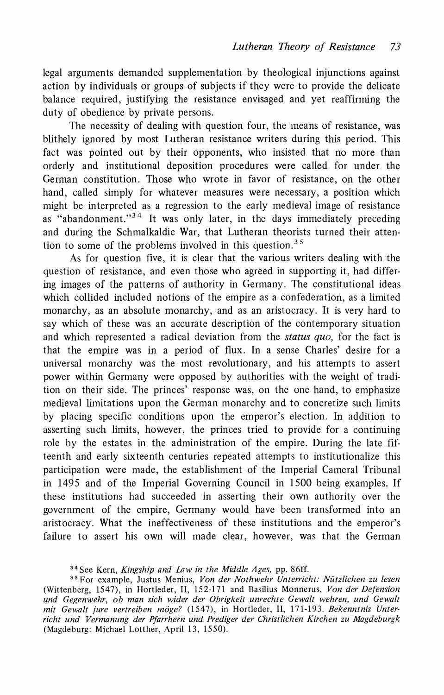**legal arguments demanded supplementation by theological injunctions against action by individuals or groups of subjects if they were to provide the delicate balance required, justifying the resistance envisaged and yet reaffirming the duty of obedience by private persons.** 

**The necessity of dealing with question four, the means of resistance, was blithely ignored by most Lutheran resistance writers during this period. This fact was pointed out by their opponents, who insisted that no more than orderly and institutional deposition procedures were called for under the German constitution. Those who wrote in favor of resistance, on the other hand, called simply for whatever measures were necessary, a position which might be interpreted as a regression to the early medieval image of resistance as "abandonment."34 It was only later, in the days immediately preceding and during the Schmalkaldic War, that Lutheran theorists turned their attention to some of the problems involved in this question.35** 

**As for question five, it is clear that the various writers dealing with the question of resistance, and even those who agreed in supporting it, had differing images of the patterns of authority in Germany. The constitutional ideas which collided included notions of the empire as a confederation, as a limited monarchy, as an absolute monarchy, and as an aristocracy. It is very hard to say which of these was an accurate description of the contemporary situation and which represented a radical deviation from the status quo, for the fact is that the empire was in a period of flux. In a sense Charles' desire for a universal monarchy was the most revolutionary, and his attempts to assert power within Germany were opposed by authorities with the weight of tradition on their side. The princes' response was, on the one hand, to emphasize medieval limitations upon the German monarchy and to concretize such limits by placing specific conditions upon the emperor's election. In addition to asserting such limits, however, the princes tried to provide for a continuing role by the estates in the administration of the empire. During the late fifteenth and early sixteenth centuries repeated attempts to institutionalize this participation were made, the establishment of the Imperial Cameral Tribunal in 1495 and of the Imperial Governing Council in 1500 being examples. If these institutions had succeeded in asserting their own authority over the government of the empire, Germany would have been transformed into an aristocracy. What the ineffectiveness of these institutions and the emperor's failure to assert his own will made clear, however, was that the German** 

**<sup>34</sup> See Kern, Kingship and Law in the Middle Ages, pp. 86ff.** 

**<sup>35</sup>For example, Justus Menius, Von der Nothwehr Unterricht: Nitzlichen zu lesen (Wittenberg, 1547), in Hortleder, II, 152-171 and Basilius Monnerus, Von der Defension und Gegenwehr, ob man sich wider der Obrigkeit unrechte Gewalt wehren, und Gewalt**  mit Gewalt jure vertreiben möge? (1547), in Hortleder, II, 171-193. Bekenntnis Unter**richt und Vermanung der Pfarrhern und Prediger der Christlichen Kirchen zu Magdeburgk (Magdeburg: Michael Lotther, April 13, 1550).**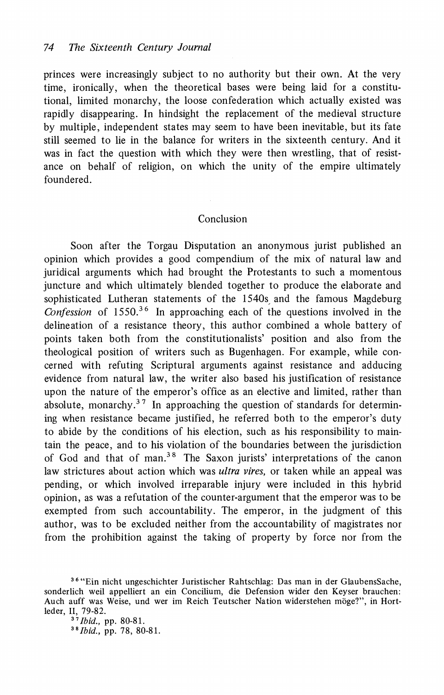**princes were increasingly subject to no authority but their own. At the very time, ironically, when the theoretical bases were being laid for a constitutional, limited monarchy, the loose confederation which actually existed was rapidly disappearing. In hindsight the replacement of the medieval structure by multiple, independent states may seem to have been inevitable, but its fate still seemed to lie in the balance for writers in the sixteenth century. And it was in fact the question with which they were then wrestling, that of resistance on behalf of religion, on which the unity of the empire ultimately foundered.** 

#### **Conclusion**

**Soon after the Torgau Disputation an anonymous jurist published an opinion which provides a good compendium of the mix of natural law and juridical arguments which had brought the Protestants to such a momentous juncture and which ultimately blended together to produce the elaborate and sophisticated Lutheran statements of the 1540s, and the famous Magdeburg Confession of 1550.36 In approaching each of the questions involved in the delineation of a resistance theory, this author combined a whole battery of points taken both from the constitutionalists' position and also from the theological position of writers such as Bugenhagen. For example, while concerned with refuting Scriptural arguments against resistance and adducing evidence from natural law, the writer also based his justification of resistance upon the nature of the emperor's office as an elective and limited, rather than absolute, monarchy.3 7 In approaching the question of standards for determining when resistance became justified, he referred both to the emperor's duty to abide by the conditions of his election, such as his responsibility to maintain the peace, and to his violation of the boundaries between the jurisdiction of God and that of man.38 The Saxon jurists' interpretations of the canon law strictures about action which was ultra vires, or taken while an appeal was pending, or which involved irreparable injury were included in this hybrid opinion, as was a refutation of the counter-argumenthat the emperor was to be exempted from such accountability. The emperor, in the judgment of this author, was to be excluded neither from the accountability of magistrates nor from the prohibition against the taking of property by force nor from the** 

**3"Ibid., pp. 80-81. 38Ibid., pp. 78, 80-81.** 

**<sup>36</sup> "Ein nicht ungeschichter Juristischer Rahtschlag: Das man in der GlaubensSache, sonderlich weil appelliert an ein Concilium, die Defension wider den Keyser brauchen: Auch auff was Weise, und wer im Reich Teutscher Nation widerstehen moge?", in Hortleder, II, 79-82.**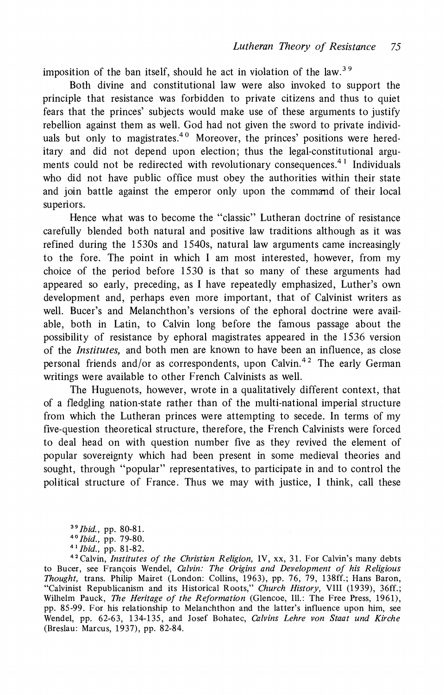**imposition of the ban itself, should he act in violation of the law.<sup>39</sup>** 

**Both divine and constitutional law were also invoked to support the principle that resistance was forbidden to private citizens and thus to quiet fears that the princes' subjects would make use of these arguments to justify rebellion against them as well. God had not given the sword to private individ**uals but only to magistrates.<sup>40</sup> Moreover, the princes' positions were hered**itary and did not depend upon election; thus the legal-constitutional arguments could not be redirected with revolutionary consequences.4 Individuals who did not have public office must obey the authorities within their state and join battle against the emperor only upon the command of their local superiors.** 

**Hence what was to become the "classic" Lutheran doctrine of resistance carefully blended both natural and positive law traditions although as it was refined during the 1530s and 1540s, natural law arguments came increasingly to the fore. The point in which I am most interested, however, from my choice of the period before 1530 is that so many of these arguments had appeared so early, preceding, as I have repeatedly emphasized, Luther's own development and, perhaps even more important, that of Calvinist writers as well. Bucer's and Melanchthon's versions of the ephoral doctrine were available, both in Latin, to Calvin long before the famous passage about the possibility of resistance by ephoral magistrates appeared in the 1536 version of the Institutes, and both men are known to have been an influence, as close personal friends and/or as correspondents, upon Calvin.42 The early German writings were available to other French Calvinists as well.** 

**The Huguenots, however, wrote in a qualitatively different context, that of a fledgling nation-state rather than of the multi-national imperial structure from which the Lutheran princes were attempting to secede. In terms of my five-question theoretical structure, therefore, the French Calvinists were forced to deal head on with question number five as they revived the element of popular sovereignty which had been present in some medieval theories and sought, through "popular" representatives, to participate in and to control the political structure of France. Thus we may with justice, I think, call these** 

**42Calvin, Institutes of the Christian Religion, IV, xx, 31. For Calvin's many debts to Bucer, see Franqois Wendel, Calvin: The Origins and Development of his Religious Thought, trans. Philip Mairet (London: Collins, 1963), pp. 76, 79, 138ff.; Hans Baron, "Calvinist Republicanism and its Historical Roots," Church History, VIII (1939), 36ff.; Wilhelm Pauck, The Heritage of the Reformation (Glencoe, Ill.: The Free Press, 1961), pp. 85-99. For his relationship to Melanchthon and the latter's influence upon him, see Wendel, pp. 62-63, 134-135, and Josef Bohatec, Calvins Lehre von Staat und Kirche (Breslau: Marcus, 1937), pp. 82-84.** 

**<sup>39</sup>Ibid., pp. 80-81.** 

**<sup>4?</sup>Ibid., pp. 79-80.** 

**<sup>4 1</sup> Ibid., pp. 81-82.**